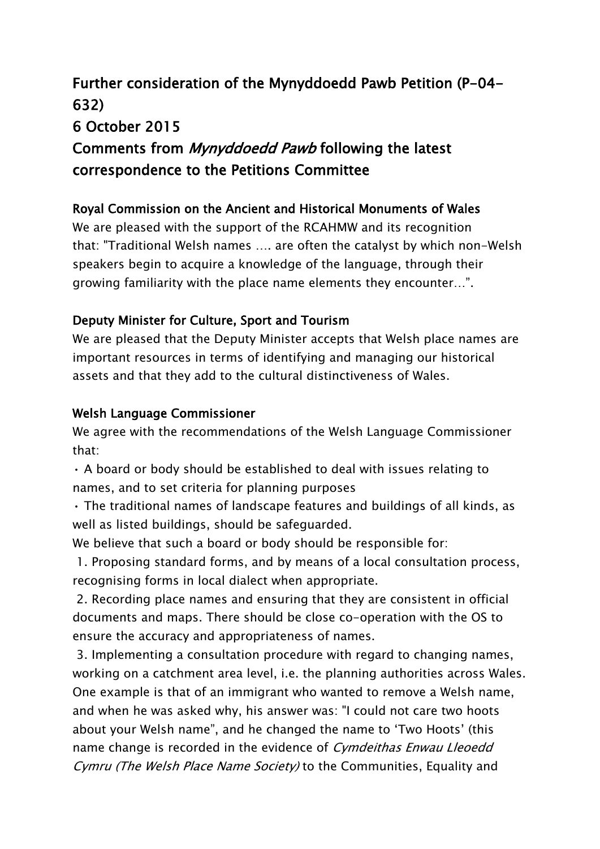# **Further consideration of the Mynyddoedd Pawb Petition (P-04- 632) 6 October 2015 Comments from** *Mynyddoedd Pawb* **following the latest correspondence to the Petitions Committee**

## **Royal Commission on the Ancient and Historical Monuments of Wales**

We are pleased with the support of the RCAHMW and its recognition that: "Traditional Welsh names …. are often the catalyst by which non-Welsh speakers begin to acquire a knowledge of the language, through their growing familiarity with the place name elements they encounter…".

## **Deputy Minister for Culture, Sport and Tourism**

We are pleased that the Deputy Minister accepts that Welsh place names are important resources in terms of identifying and managing our historical assets and that they add to the cultural distinctiveness of Wales.

#### **Welsh Language Commissioner**

We agree with the recommendations of the Welsh Language Commissioner that:

• A board or body should be established to deal with issues relating to names, and to set criteria for planning purposes

• The traditional names of landscape features and buildings of all kinds, as well as listed buildings, should be safeguarded.

We believe that such a board or body should be responsible for:

1. Proposing standard forms, and by means of a local consultation process, recognising forms in local dialect when appropriate.

2. Recording place names and ensuring that they are consistent in official documents and maps. There should be close co-operation with the OS to ensure the accuracy and appropriateness of names.

3. Implementing a consultation procedure with regard to changing names, working on a catchment area level, i.e. the planning authorities across Wales. One example is that of an immigrant who wanted to remove a Welsh name, and when he was asked why, his answer was: "I could not care two hoots about your Welsh name", and he changed the name to 'Two Hoots' (this name change is recorded in the evidence of *Cymdeithas Enwau Lleoedd Cymru (The Welsh Place Name Society)* to the Communities, Equality and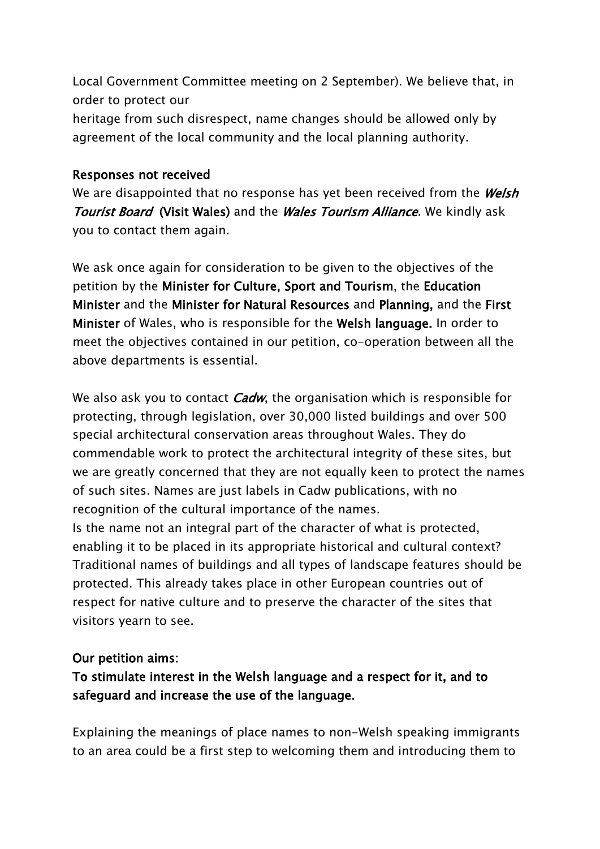Local Government Committee meeting on 2 September). We believe that, in order to protect our

heritage from such disrespect, name changes should be allowed only by agreement of the local community and the local planning authority.

#### **Responses not received**

We are disappointed that no response has yet been received from the *Welsh Tourist Board* **(Visit Wales)** and the *Wales Tourism Alliance*. We kindly ask you to contact them again.

We ask once again for consideration to be given to the objectives of the petition by the **Minister for Culture, Sport and Tourism**, the **Education Minister** and the **Minister for Natural Resources** and **Planning,** and the **First Minister** of Wales, who is responsible for the **Welsh language.** In order to meet the objectives contained in our petition, co-operation between all the above departments is essential.

We also ask you to contact *Cadw*, the organisation which is responsible for protecting, through legislation, over 30,000 listed buildings and over 500 special architectural conservation areas throughout Wales. They do commendable work to protect the architectural integrity of these sites, but we are greatly concerned that they are not equally keen to protect the names of such sites. Names are just labels in Cadw publications, with no recognition of the cultural importance of the names.

Is the name not an integral part of the character of what is protected, enabling it to be placed in its appropriate historical and cultural context? Traditional names of buildings and all types of landscape features should be protected. This already takes place in other European countries out of respect for native culture and to preserve the character of the sites that visitors yearn to see.

#### **Our petition aims:**

# **To stimulate interest in the Welsh language and a respect for it, and to safeguard and increase the use of the language.**

Explaining the meanings of place names to non-Welsh speaking immigrants to an area could be a first step to welcoming them and introducing them to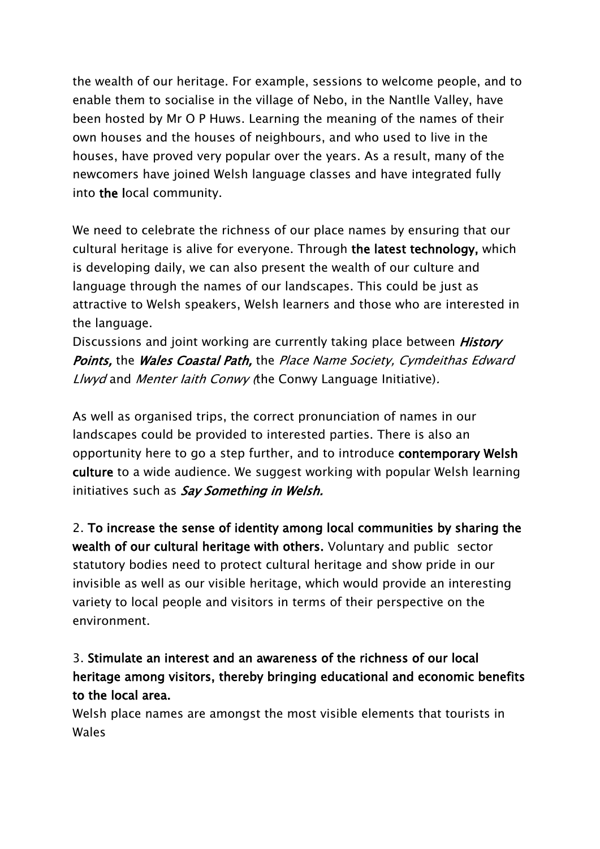the wealth of our heritage. For example, sessions to welcome people, and to enable them to socialise in the village of Nebo, in the Nantlle Valley, have been hosted by Mr O P Huws. Learning the meaning of the names of their own houses and the houses of neighbours, and who used to live in the houses, have proved very popular over the years. As a result, many of the newcomers have joined Welsh language classes and have integrated fully into **the l**ocal community.

We need to celebrate the richness of our place names by ensuring that our cultural heritage is alive for everyone. Through **the latest technology,** which is developing daily, we can also present the wealth of our culture and language through the names of our landscapes. This could be just as attractive to Welsh speakers, Welsh learners and those who are interested in the language.

Discussions and joint working are currently taking place between *History Points,* the *Wales Coastal Path,* the *Place Name Society, Cymdeithas Edward Llwyd* and *Menter Iaith Conwy (*the Conwy Language Initiative)*.*

As well as organised trips, the correct pronunciation of names in our landscapes could be provided to interested parties. There is also an opportunity here to go a step further, and to introduce **contemporary Welsh culture** to a wide audience. We suggest working with popular Welsh learning initiatives such as *Say Something in Welsh.*

2. **To increase the sense of identity among local communities by sharing the wealth of our cultural heritage with others.** Voluntary and public sector statutory bodies need to protect cultural heritage and show pride in our invisibleas well as our visible heritage, which would provide an interesting variety to local people and visitors in terms of their perspective on the environment.

# 3. **Stimulate an interest and an awareness of the richness of our local heritage among visitors, thereby bringing educational and economic benefits to the local area.**

Welsh place names are amongst the most visible elements that tourists in Wales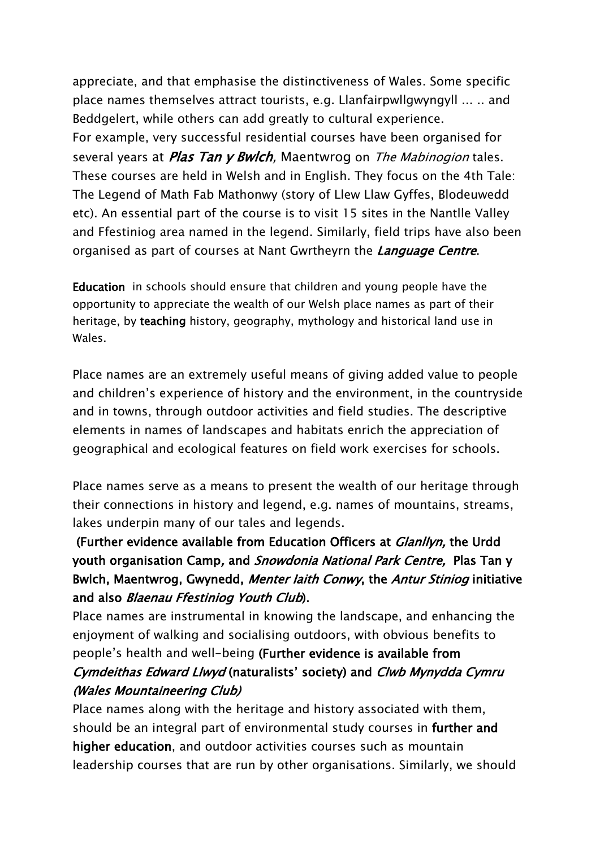appreciate, and that emphasise the distinctiveness of Wales. Some specific place names themselves attract tourists, e.g. Llanfairpwllgwyngyll ... .. and Beddgelert, while others can add greatly to cultural experience. For example, very successful residential courses have been organised for several years at *Plas Tan y Bwlch,* Maentwrog on *The Mabinogion* tales. These courses are held in Welsh and in English. They focus on the 4th Tale: The Legend of Math Fab Mathonwy (story of Llew Llaw Gyffes, Blodeuwedd etc). An essential part of the course is to visit 15 sites in the Nantlle Valley and Ffestiniog area named in the legend. Similarly, field trips have also been organised as part of courses at Nant Gwrtheyrn the *Language Centre*.

**Education** in schools should ensure that children and young people have the opportunity to appreciate the wealth of our Welsh place names as part of their heritage, by **teaching** history, geography, mythology and historical land use in Wales.

Place names are an extremely useful means of giving added value to people and children's experience of history and the environment, in the countryside and in towns, through outdoor activities and field studies. The descriptive elements in names of landscapes and habitats enrich the appreciation of geographical and ecological features on field work exercises for schools.

Place names serve as a means to present the wealth of our heritage through their connections in history and legend, e.g. names of mountains, streams, lakes underpin many of our tales and legends.

 **(Further evidence available from Education Officers at** *Glanllyn,* **the Urdd youth organisation Camp***,* **and** *Snowdonia National Park Centre,* **Plas Tan y Bwlch, Maentwrog, Gwynedd,** *Menter Iaith Conwy***, the** *Antur Stiniog* **initiative and also** *Blaenau Ffestiniog Youth Club***).** 

Place names are instrumental in knowing the landscape, and enhancing the enjoyment of walking and socialising outdoors, withobvious benefits to people's health and well-being **(Further evidence is available from**  *Cymdeithas Edward Llwyd* **(naturalists' society) and** *Clwb Mynydda Cymru (Wales Mountaineering Club)* 

Place names along with the heritage and history associated with them, should be an integral part of environmental study courses in **further and higher education**, and outdoor activities courses such as mountain leadership courses that are run by other organisations. Similarly, we should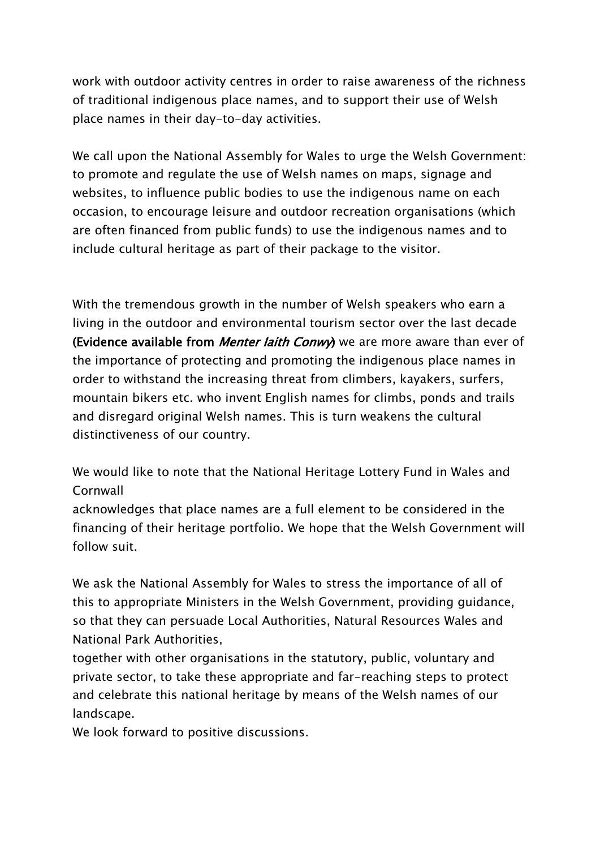work with outdoor activity centres in order to raise awareness of the richness of traditional indigenous place names, and to support their use of Welsh place names in their day-to-day activities.

We call upon the National Assembly for Wales to urge the Welsh Government: to promote and regulate the use of Welsh names on maps, signage and websites, to influence public bodies to use the indigenous name on each occasion, to encourage leisure and outdoor recreation organisations (which are often financed from public funds) to use the indigenous names and to include cultural heritage as part of their package to the visitor.

With the tremendous growth in the number of Welsh speakers who earn a living in the outdoor and environmental tourism sector over the last decade **(Evidence available from** *Menter Iaith Conwy***)** we are more aware than ever of the importance of protecting and promoting the indigenous place names in order to withstand the increasing threat from climbers, kayakers, surfers, mountain bikers etc. who invent English names for climbs, ponds and trails and disregard original Welsh names. This is turn weakens the cultural distinctiveness of our country.

We would like to note that the National Heritage Lottery Fund in Wales and Cornwall

acknowledges that place names are a full element to be considered in the financing of their heritage portfolio. We hope that the Welsh Government will follow suit.

We ask the National Assembly for Wales to stress the importance of all of this to appropriate Ministers in the Welsh Government, providing guidance, so that they can persuade Local Authorities, Natural Resources Wales and National Park Authorities,

together with other organisations in the statutory, public, voluntary and private sector, to take these appropriate and far-reaching steps to protect and celebrate this national heritage by means of the Welsh names of our landscape.

We look forward to positive discussions.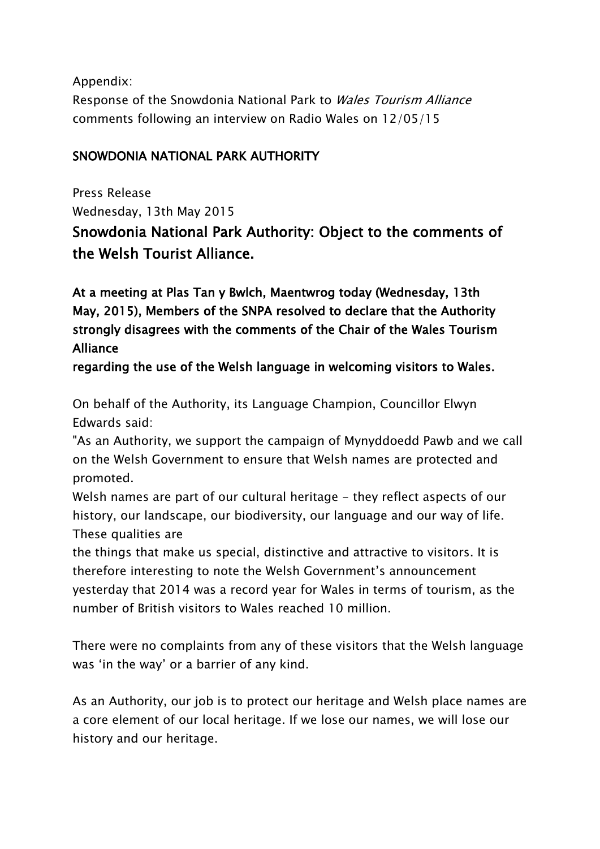Appendix: Response of the Snowdonia National Park to *Wales Tourism Alliance* comments following an interview on Radio Wales on 12/05/15

## **SNOWDONIA NATIONAL PARK AUTHORITY**

Press Release Wednesday, 13th May 2015 **Snowdonia National Park Authority: Object to the comments of the Welsh Tourist Alliance.**

**At a meeting at Plas Tan y Bwlch, Maentwrog today (Wednesday, 13th May, 2015), Members of the SNPA resolved to declare that the Authority strongly disagrees with the comments of the Chair of the Wales Tourism Alliance**

**regarding the use of the Welsh language in welcoming visitors to Wales.**

On behalf of the Authority, its Language Champion, Councillor Elwyn Edwards said:

"As an Authority, we support the campaign of Mynyddoedd Pawb and we call on the Welsh Government to ensure that Welsh names are protected and promoted.

Welsh names are part of our cultural heritage - they reflect aspects of our history, our landscape, our biodiversity, our language and our way of life. These qualities are

the things that make us special, distinctive and attractive to visitors. It is therefore interesting to note the Welsh Government's announcement yesterday that 2014 was a record year for Wales in terms of tourism, as the number of British visitors to Wales reached 10 million.

There were no complaints from any of these visitors that the Welsh language was 'in the way' or a barrier of any kind.

As an Authority, our job is to protect our heritage and Welsh place names are a core element of our local heritage. If we lose our names, we will lose our history and our heritage.